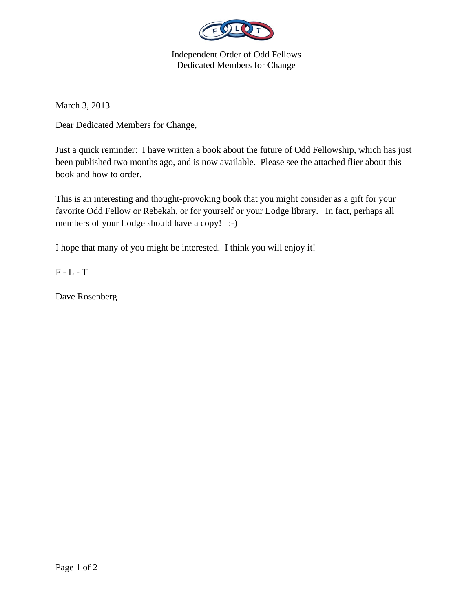

Independent Order of Odd Fellows Dedicated Members for Change

March 3, 2013

Dear Dedicated Members for Change,

Just a quick reminder: I have written a book about the future of Odd Fellowship, which has just been published two months ago, and is now available. Please see the attached flier about this book and how to order.

This is an interesting and thought-provoking book that you might consider as a gift for your favorite Odd Fellow or Rebekah, or for yourself or your Lodge library. In fact, perhaps all members of your Lodge should have a copy! :-)

I hope that many of you might be interested. I think you will enjoy it!

F - L - T

Dave Rosenberg